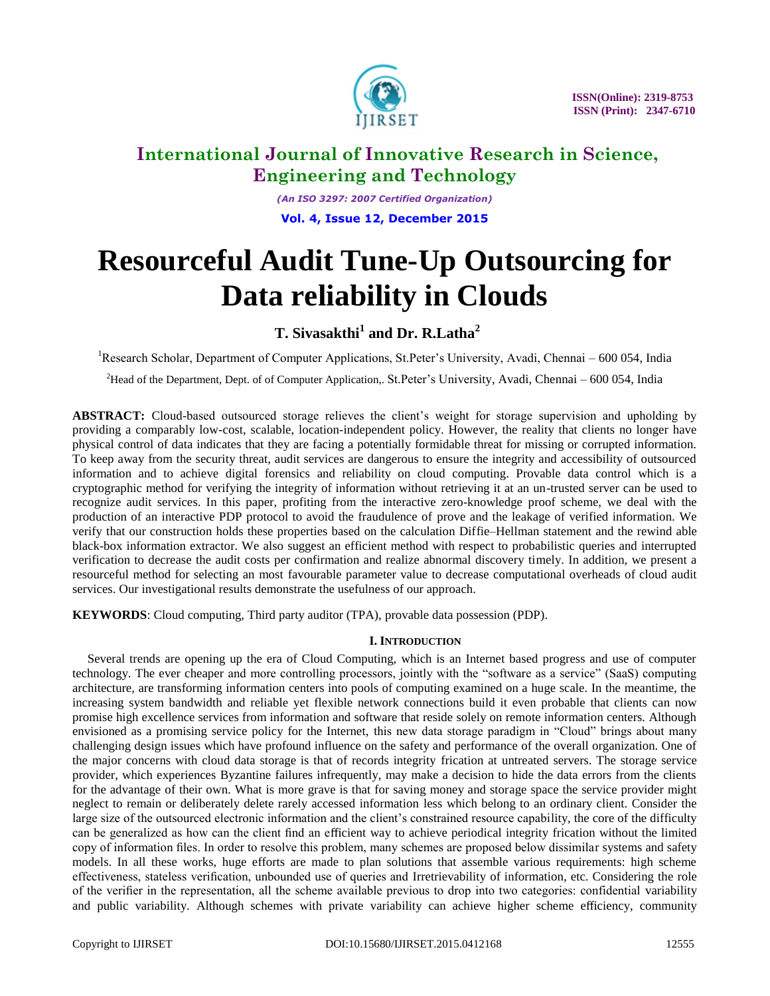

*(An ISO 3297: 2007 Certified Organization)* **Vol. 4, Issue 12, December 2015**

# **Resourceful Audit Tune-Up Outsourcing for Data reliability in Clouds**

# **T. Sivasakthi<sup>1</sup> and Dr. R.Latha<sup>2</sup>**

<sup>1</sup>Research Scholar, Department of Computer Applications, St.Peter's University, Avadi, Chennai – 600 054, India

<sup>2</sup>Head of the Department, Dept. of of Computer Application,. St.Peter's University, Avadi, Chennai – 600 054, India

**ABSTRACT:** Cloud-based outsourced storage relieves the client's weight for storage supervision and upholding by providing a comparably low-cost, scalable, location-independent policy. However, the reality that clients no longer have physical control of data indicates that they are facing a potentially formidable threat for missing or corrupted information. To keep away from the security threat, audit services are dangerous to ensure the integrity and accessibility of outsourced information and to achieve digital forensics and reliability on cloud computing. Provable data control which is a cryptographic method for verifying the integrity of information without retrieving it at an un-trusted server can be used to recognize audit services. In this paper, profiting from the interactive zero-knowledge proof scheme, we deal with the production of an interactive PDP protocol to avoid the fraudulence of prove and the leakage of verified information. We verify that our construction holds these properties based on the calculation Diffie–Hellman statement and the rewind able black-box information extractor. We also suggest an efficient method with respect to probabilistic queries and interrupted verification to decrease the audit costs per confirmation and realize abnormal discovery timely. In addition, we present a resourceful method for selecting an most favourable parameter value to decrease computational overheads of cloud audit services. Our investigational results demonstrate the usefulness of our approach.

**KEYWORDS**: Cloud computing, Third party auditor (TPA), provable data possession (PDP).

# **I. INTRODUCTION**

 Several trends are opening up the era of Cloud Computing, which is an Internet based progress and use of computer technology. The ever cheaper and more controlling processors, jointly with the "software as a service" (SaaS) computing architecture, are transforming information centers into pools of computing examined on a huge scale. In the meantime, the increasing system bandwidth and reliable yet flexible network connections build it even probable that clients can now promise high excellence services from information and software that reside solely on remote information centers. Although envisioned as a promising service policy for the Internet, this new data storage paradigm in "Cloud" brings about many challenging design issues which have profound influence on the safety and performance of the overall organization. One of the major concerns with cloud data storage is that of records integrity frication at untreated servers. The storage service provider, which experiences Byzantine failures infrequently, may make a decision to hide the data errors from the clients for the advantage of their own. What is more grave is that for saving money and storage space the service provider might neglect to remain or deliberately delete rarely accessed information less which belong to an ordinary client. Consider the large size of the outsourced electronic information and the client's constrained resource capability, the core of the difficulty can be generalized as how can the client find an efficient way to achieve periodical integrity frication without the limited copy of information files. In order to resolve this problem, many schemes are proposed below dissimilar systems and safety models. In all these works, huge efforts are made to plan solutions that assemble various requirements: high scheme effectiveness, stateless verification, unbounded use of queries and Irretrievability of information, etc. Considering the role of the verifier in the representation, all the scheme available previous to drop into two categories: confidential variability and public variability. Although schemes with private variability can achieve higher scheme efficiency, community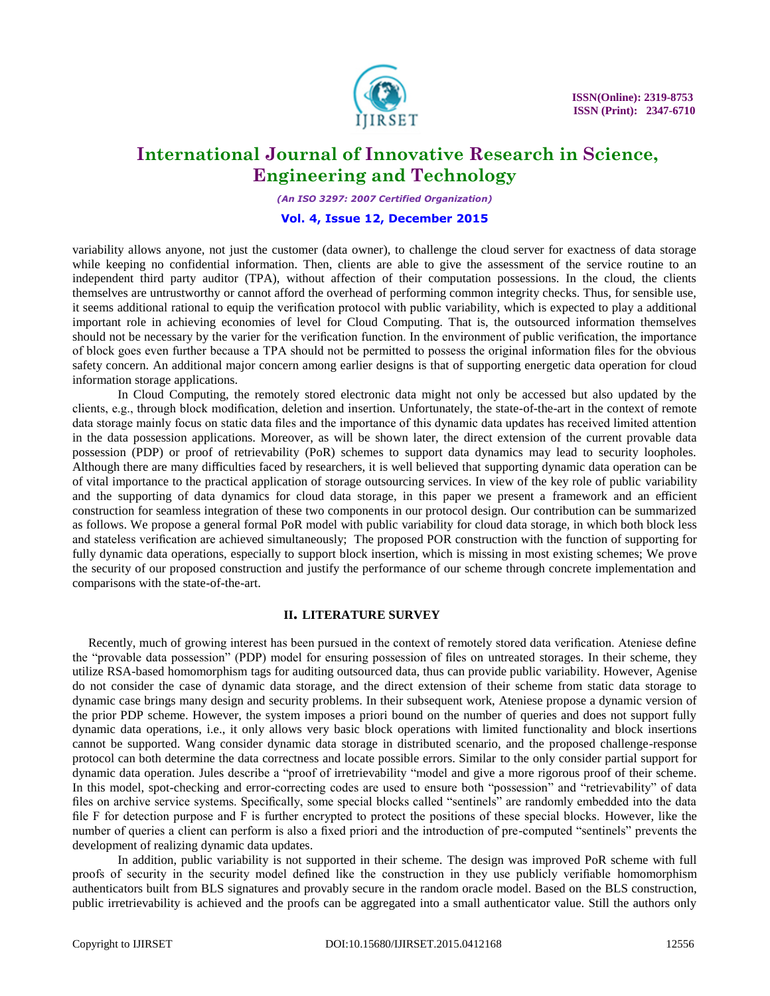

*(An ISO 3297: 2007 Certified Organization)*

# **Vol. 4, Issue 12, December 2015**

variability allows anyone, not just the customer (data owner), to challenge the cloud server for exactness of data storage while keeping no confidential information. Then, clients are able to give the assessment of the service routine to an independent third party auditor (TPA), without affection of their computation possessions. In the cloud, the clients themselves are untrustworthy or cannot afford the overhead of performing common integrity checks. Thus, for sensible use, it seems additional rational to equip the verification protocol with public variability, which is expected to play a additional important role in achieving economies of level for Cloud Computing. That is, the outsourced information themselves should not be necessary by the varier for the verification function. In the environment of public verification, the importance of block goes even further because a TPA should not be permitted to possess the original information files for the obvious safety concern. An additional major concern among earlier designs is that of supporting energetic data operation for cloud information storage applications.

In Cloud Computing, the remotely stored electronic data might not only be accessed but also updated by the clients, e.g., through block modification, deletion and insertion. Unfortunately, the state-of-the-art in the context of remote data storage mainly focus on static data files and the importance of this dynamic data updates has received limited attention in the data possession applications. Moreover, as will be shown later, the direct extension of the current provable data possession (PDP) or proof of retrievability (PoR) schemes to support data dynamics may lead to security loopholes. Although there are many difficulties faced by researchers, it is well believed that supporting dynamic data operation can be of vital importance to the practical application of storage outsourcing services. In view of the key role of public variability and the supporting of data dynamics for cloud data storage, in this paper we present a framework and an efficient construction for seamless integration of these two components in our protocol design. Our contribution can be summarized as follows. We propose a general formal PoR model with public variability for cloud data storage, in which both block less and stateless verification are achieved simultaneously; The proposed POR construction with the function of supporting for fully dynamic data operations, especially to support block insertion, which is missing in most existing schemes; We prove the security of our proposed construction and justify the performance of our scheme through concrete implementation and comparisons with the state-of-the-art.

## **II. LITERATURE SURVEY**

Recently, much of growing interest has been pursued in the context of remotely stored data verification. Ateniese define the "provable data possession" (PDP) model for ensuring possession of files on untreated storages. In their scheme, they utilize RSA-based homomorphism tags for auditing outsourced data, thus can provide public variability. However, Agenise do not consider the case of dynamic data storage, and the direct extension of their scheme from static data storage to dynamic case brings many design and security problems. In their subsequent work, Ateniese propose a dynamic version of the prior PDP scheme. However, the system imposes a priori bound on the number of queries and does not support fully dynamic data operations, i.e., it only allows very basic block operations with limited functionality and block insertions cannot be supported. Wang consider dynamic data storage in distributed scenario, and the proposed challenge-response protocol can both determine the data correctness and locate possible errors. Similar to the only consider partial support for dynamic data operation. Jules describe a "proof of irretrievability "model and give a more rigorous proof of their scheme. In this model, spot-checking and error-correcting codes are used to ensure both "possession" and "retrievability" of data files on archive service systems. Specifically, some special blocks called "sentinels" are randomly embedded into the data file F for detection purpose and F is further encrypted to protect the positions of these special blocks. However, like the number of queries a client can perform is also a fixed priori and the introduction of pre-computed "sentinels" prevents the development of realizing dynamic data updates.

In addition, public variability is not supported in their scheme. The design was improved PoR scheme with full proofs of security in the security model defined like the construction in they use publicly verifiable homomorphism authenticators built from BLS signatures and provably secure in the random oracle model. Based on the BLS construction, public irretrievability is achieved and the proofs can be aggregated into a small authenticator value. Still the authors only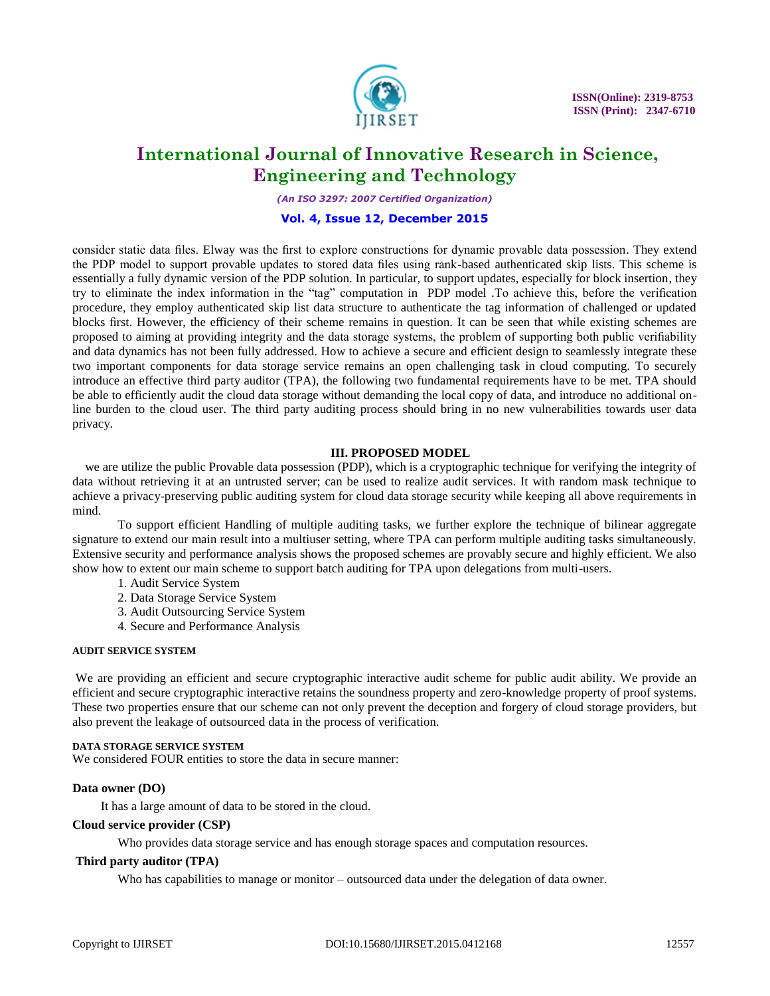

*(An ISO 3297: 2007 Certified Organization)*

# **Vol. 4, Issue 12, December 2015**

consider static data files. Elway was the first to explore constructions for dynamic provable data possession. They extend the PDP model to support provable updates to stored data files using rank-based authenticated skip lists. This scheme is essentially a fully dynamic version of the PDP solution. In particular, to support updates, especially for block insertion, they try to eliminate the index information in the "tag" computation in PDP model .To achieve this, before the verification procedure, they employ authenticated skip list data structure to authenticate the tag information of challenged or updated blocks first. However, the efficiency of their scheme remains in question. It can be seen that while existing schemes are proposed to aiming at providing integrity and the data storage systems, the problem of supporting both public verifiability and data dynamics has not been fully addressed. How to achieve a secure and efficient design to seamlessly integrate these two important components for data storage service remains an open challenging task in cloud computing. To securely introduce an effective third party auditor (TPA), the following two fundamental requirements have to be met. TPA should be able to efficiently audit the cloud data storage without demanding the local copy of data, and introduce no additional online burden to the cloud user. The third party auditing process should bring in no new vulnerabilities towards user data privacy.

# **III. PROPOSED MODEL**

we are utilize the public Provable data possession (PDP), which is a cryptographic technique for verifying the integrity of data without retrieving it at an untrusted server; can be used to realize audit services. It with random mask technique to achieve a privacy-preserving public auditing system for cloud data storage security while keeping all above requirements in mind.

To support efficient Handling of multiple auditing tasks, we further explore the technique of bilinear aggregate signature to extend our main result into a multiuser setting, where TPA can perform multiple auditing tasks simultaneously. Extensive security and performance analysis shows the proposed schemes are provably secure and highly efficient. We also show how to extent our main scheme to support batch auditing for TPA upon delegations from multi-users.

- 1. Audit Service System
- 2. Data Storage Service System
- 3. Audit Outsourcing Service System
- 4. Secure and Performance Analysis

## **AUDIT SERVICE SYSTEM**

We are providing an efficient and secure cryptographic interactive audit scheme for public audit ability. We provide an efficient and secure cryptographic interactive retains the soundness property and zero-knowledge property of proof systems. These two properties ensure that our scheme can not only prevent the deception and forgery of cloud storage providers, but also prevent the leakage of outsourced data in the process of verification.

# **DATA STORAGE SERVICE SYSTEM**

We considered FOUR entities to store the data in secure manner:

# **Data owner (DO)**

It has a large amount of data to be stored in the cloud.

## **Cloud service provider (CSP)**

Who provides data storage service and has enough storage spaces and computation resources.

## **Third party auditor (TPA)**

Who has capabilities to manage or monitor – outsourced data under the delegation of data owner.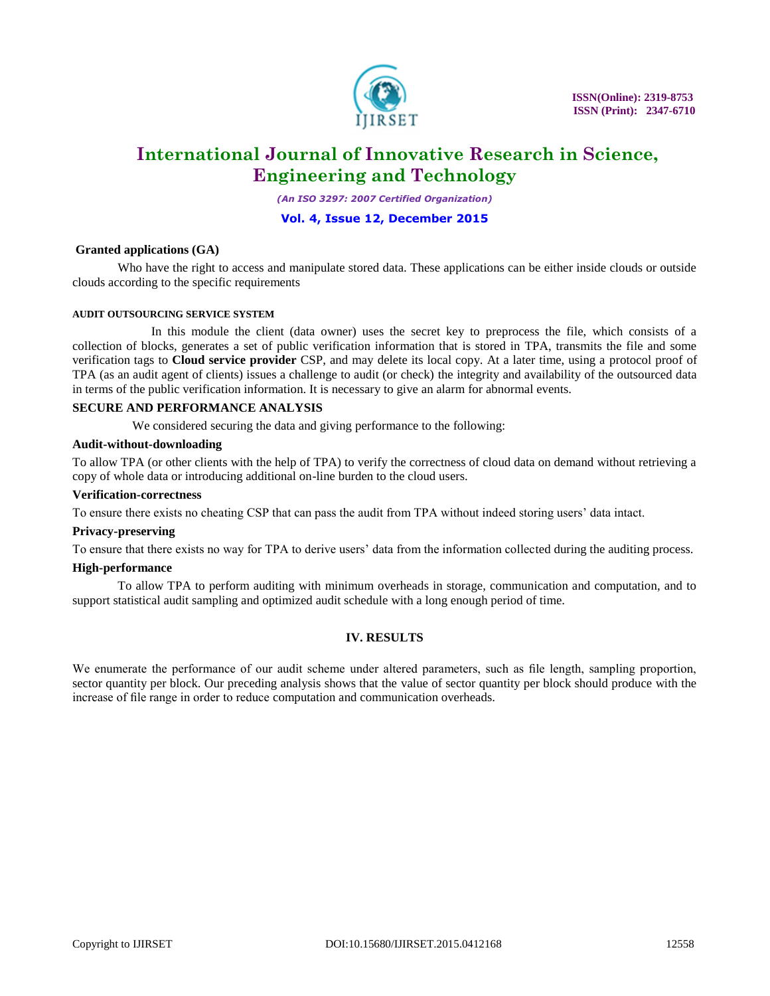

*(An ISO 3297: 2007 Certified Organization)*

# **Vol. 4, Issue 12, December 2015**

# **Granted applications (GA)**

Who have the right to access and manipulate stored data. These applications can be either inside clouds or outside clouds according to the specific requirements

## **AUDIT OUTSOURCING SERVICE SYSTEM**

 In this module the client (data owner) uses the secret key to preprocess the file, which consists of a collection of blocks, generates a set of public verification information that is stored in TPA, transmits the file and some verification tags to **Cloud service provider** CSP, and may delete its local copy. At a later time, using a protocol proof of TPA (as an audit agent of clients) issues a challenge to audit (or check) the integrity and availability of the outsourced data in terms of the public verification information. It is necessary to give an alarm for abnormal events.

# **SECURE AND PERFORMANCE ANALYSIS**

We considered securing the data and giving performance to the following:

## **Audit-without-downloading**

To allow TPA (or other clients with the help of TPA) to verify the correctness of cloud data on demand without retrieving a copy of whole data or introducing additional on-line burden to the cloud users.

#### **Verification-correctness**

To ensure there exists no cheating CSP that can pass the audit from TPA without indeed storing users' data intact.

## **Privacy-preserving**

To ensure that there exists no way for TPA to derive users' data from the information collected during the auditing process.

## **High-performance**

To allow TPA to perform auditing with minimum overheads in storage, communication and computation, and to support statistical audit sampling and optimized audit schedule with a long enough period of time.

## **IV. RESULTS**

We enumerate the performance of our audit scheme under altered parameters, such as file length, sampling proportion, sector quantity per block. Our preceding analysis shows that the value of sector quantity per block should produce with the increase of file range in order to reduce computation and communication overheads.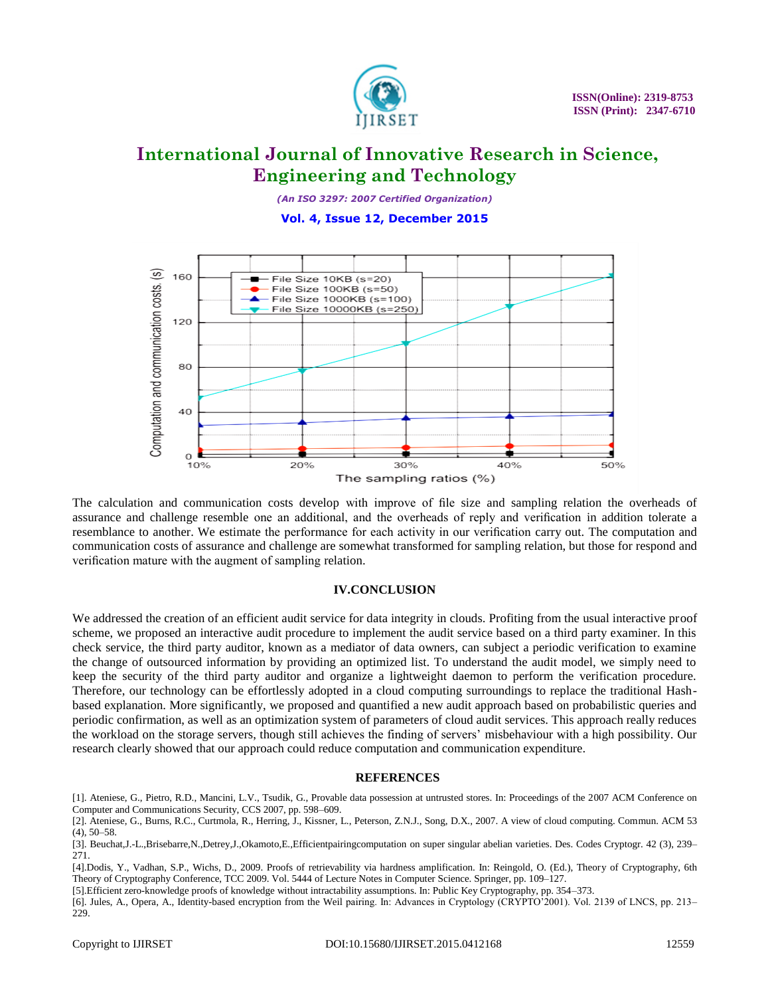

*(An ISO 3297: 2007 Certified Organization)*

**Vol. 4, Issue 12, December 2015**



The calculation and communication costs develop with improve of file size and sampling relation the overheads of assurance and challenge resemble one an additional, and the overheads of reply and verification in addition tolerate a resemblance to another. We estimate the performance for each activity in our verification carry out. The computation and communication costs of assurance and challenge are somewhat transformed for sampling relation, but those for respond and verification mature with the augment of sampling relation.

## **IV.CONCLUSION**

We addressed the creation of an efficient audit service for data integrity in clouds. Profiting from the usual interactive proof scheme, we proposed an interactive audit procedure to implement the audit service based on a third party examiner. In this check service, the third party auditor, known as a mediator of data owners, can subject a periodic verification to examine the change of outsourced information by providing an optimized list. To understand the audit model, we simply need to keep the security of the third party auditor and organize a lightweight daemon to perform the verification procedure. Therefore, our technology can be effortlessly adopted in a cloud computing surroundings to replace the traditional Hashbased explanation. More significantly, we proposed and quantified a new audit approach based on probabilistic queries and periodic confirmation, as well as an optimization system of parameters of cloud audit services. This approach really reduces the workload on the storage servers, though still achieves the finding of servers' misbehaviour with a high possibility. Our research clearly showed that our approach could reduce computation and communication expenditure.

## **REFERENCES**

[1]. Ateniese, G., Pietro, R.D., Mancini, L.V., Tsudik, G., Provable data possession at untrusted stores. In: Proceedings of the 2007 ACM Conference on Computer and Communications Security, CCS 2007, pp. 598–609.

<sup>[2].</sup> Ateniese, G., Burns, R.C., Curtmola, R., Herring, J., Kissner, L., Peterson, Z.N.J., Song, D.X., 2007. A view of cloud computing. Commun. ACM 53 (4), 50–58.

<sup>[3].</sup> Beuchat,J.-L.,Brisebarre,N.,Detrey,J.,Okamoto,E.,Efficientpairingcomputation on super singular abelian varieties. Des. Codes Cryptogr. 42 (3), 239– 271.

<sup>[4].</sup>Dodis, Y., Vadhan, S.P., Wichs, D., 2009. Proofs of retrievability via hardness amplification. In: Reingold, O. (Ed.), Theory of Cryptography, 6th Theory of Cryptography Conference, TCC 2009. Vol. 5444 of Lecture Notes in Computer Science. Springer, pp. 109–127.

<sup>[5].</sup>Efficient zero-knowledge proofs of knowledge without intractability assumptions. In: Public Key Cryptography, pp. 354–373.

<sup>[6].</sup> Jules, A., Opera, A., Identity-based encryption from the Weil pairing. In: Advances in Cryptology (CRYPTO'2001). Vol. 2139 of LNCS, pp. 213– 229.